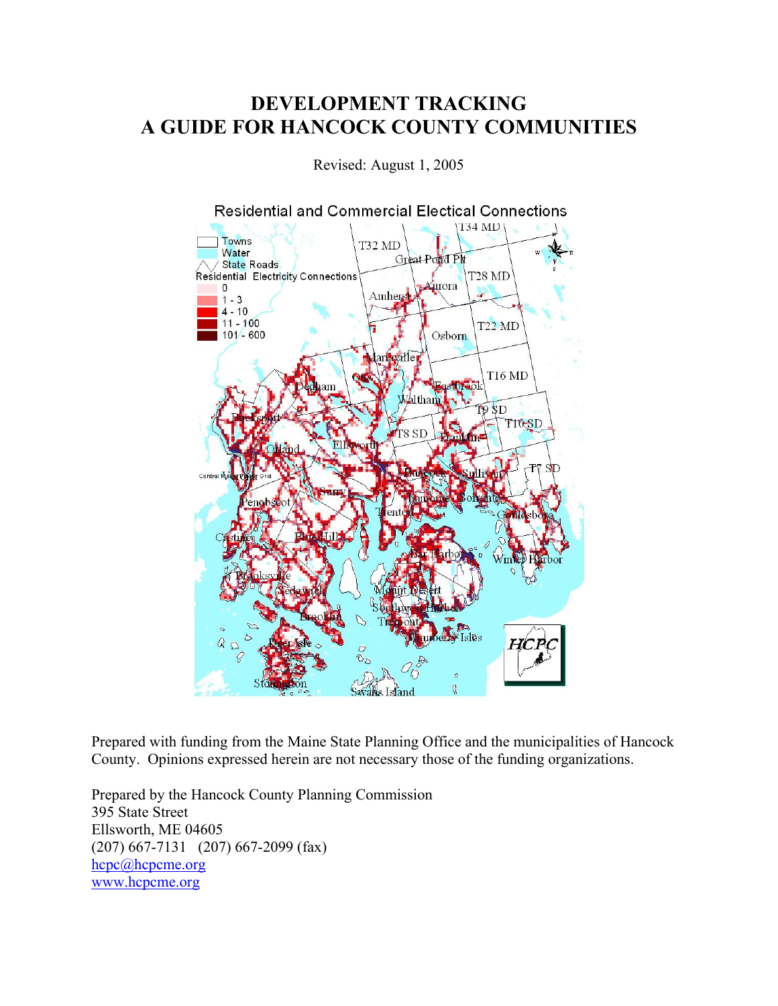# DEVELOPMENT TRACKING A GUIDE FOR HANCOCK COUNTY COMMUNITIES

Revised: August 1, 2005



Prepared with funding from the Maine State Planning Office and the municipalities of Hancock County. Opinions expressed herein are not necessary those of the funding organizations.

Prepared by the Hancock County Planning Commission 395 State Street Ellsworth, ME 04605 (207) 667-7131 (207) 667-2099 (fax) hcpc@hcpcme.org www.hcpcme.org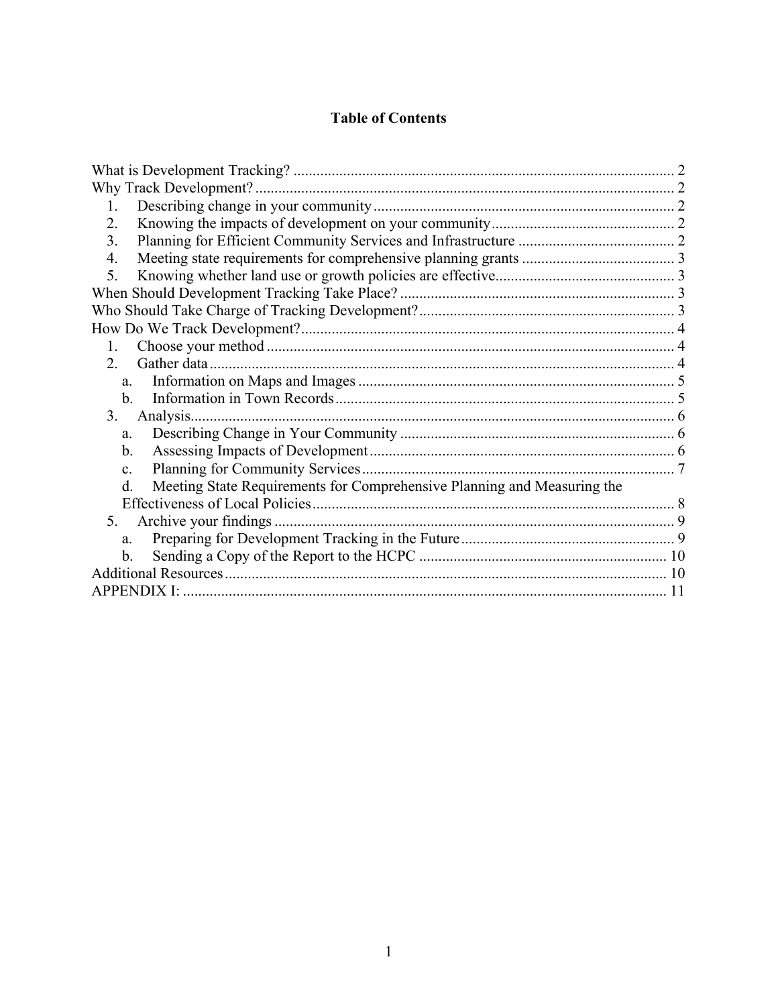#### **Table of Contents**

|                                                                               | 2 |
|-------------------------------------------------------------------------------|---|
| Why Track Development?.                                                       |   |
| $\mathbf{1}$                                                                  |   |
| 2.                                                                            |   |
| 3.                                                                            |   |
| 4.                                                                            |   |
| 5.                                                                            |   |
|                                                                               |   |
|                                                                               |   |
|                                                                               |   |
| $\mathbf{1}$                                                                  |   |
| 2.                                                                            |   |
| a.                                                                            |   |
| b.                                                                            |   |
| Analysis.<br>3 <sub>1</sub>                                                   |   |
| a.                                                                            |   |
| b.                                                                            |   |
| $\mathbf{c}$ .                                                                |   |
| Meeting State Requirements for Comprehensive Planning and Measuring the<br>d. |   |
|                                                                               |   |
| 5 <sub>1</sub>                                                                |   |
| a.                                                                            |   |
| b.                                                                            |   |
|                                                                               |   |
|                                                                               |   |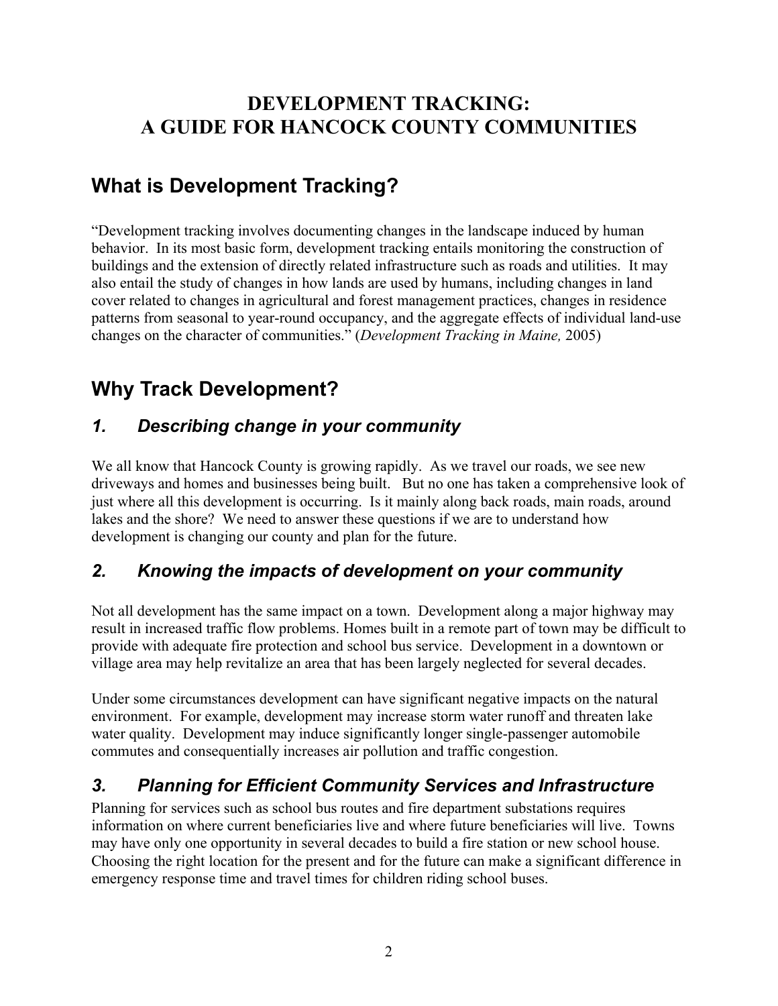# DEVELOPMENT TRACKING: A GUIDE FOR HANCOCK COUNTY COMMUNITIES

# What is Development Tracking?

"Development tracking involves documenting changes in the landscape induced by human behavior. In its most basic form, development tracking entails monitoring the construction of buildings and the extension of directly related infrastructure such as roads and utilities. It may also entail the study of changes in how lands are used by humans, including changes in land cover related to changes in agricultural and forest management practices, changes in residence patterns from seasonal to year-round occupancy, and the aggregate effects of individual land-use changes on the character of communities." (Development Tracking in Maine, 2005)

# Why Track Development?

# 1. Describing change in your community

We all know that Hancock County is growing rapidly. As we travel our roads, we see new driveways and homes and businesses being built. But no one has taken a comprehensive look of just where all this development is occurring. Is it mainly along back roads, main roads, around lakes and the shore? We need to answer these questions if we are to understand how development is changing our county and plan for the future.

# 2. Knowing the impacts of development on your community

Not all development has the same impact on a town. Development along a major highway may result in increased traffic flow problems. Homes built in a remote part of town may be difficult to provide with adequate fire protection and school bus service. Development in a downtown or village area may help revitalize an area that has been largely neglected for several decades.

Under some circumstances development can have significant negative impacts on the natural environment. For example, development may increase storm water runoff and threaten lake water quality. Development may induce significantly longer single-passenger automobile commutes and consequentially increases air pollution and traffic congestion.

## 3. Planning for Efficient Community Services and Infrastructure

Planning for services such as school bus routes and fire department substations requires information on where current beneficiaries live and where future beneficiaries will live. Towns may have only one opportunity in several decades to build a fire station or new school house. Choosing the right location for the present and for the future can make a significant difference in emergency response time and travel times for children riding school buses.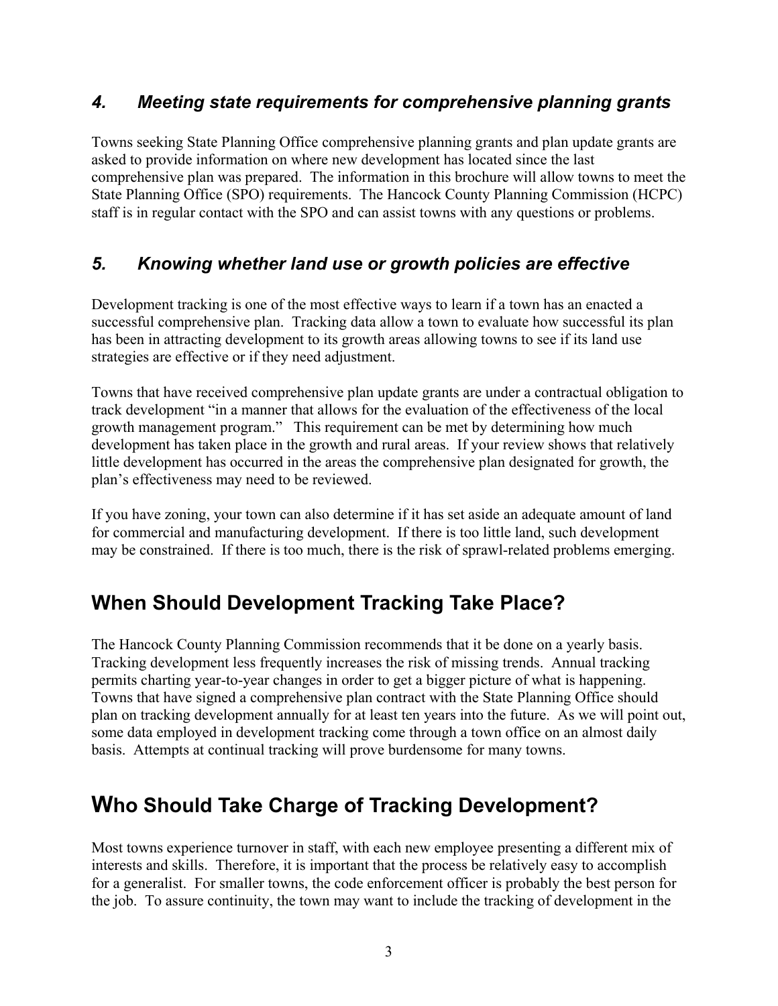#### 4. Meeting state requirements for comprehensive planning grants

Towns seeking State Planning Office comprehensive planning grants and plan update grants are asked to provide information on where new development has located since the last comprehensive plan was prepared. The information in this brochure will allow towns to meet the State Planning Office (SPO) requirements. The Hancock County Planning Commission (HCPC) staff is in regular contact with the SPO and can assist towns with any questions or problems.

## 5. Knowing whether land use or growth policies are effective

Development tracking is one of the most effective ways to learn if a town has an enacted a successful comprehensive plan. Tracking data allow a town to evaluate how successful its plan has been in attracting development to its growth areas allowing towns to see if its land use strategies are effective or if they need adjustment.

Towns that have received comprehensive plan update grants are under a contractual obligation to track development "in a manner that allows for the evaluation of the effectiveness of the local growth management program." This requirement can be met by determining how much development has taken place in the growth and rural areas. If your review shows that relatively little development has occurred in the areas the comprehensive plan designated for growth, the plan's effectiveness may need to be reviewed.

If you have zoning, your town can also determine if it has set aside an adequate amount of land for commercial and manufacturing development. If there is too little land, such development may be constrained. If there is too much, there is the risk of sprawl-related problems emerging.

# When Should Development Tracking Take Place?

The Hancock County Planning Commission recommends that it be done on a yearly basis. Tracking development less frequently increases the risk of missing trends. Annual tracking permits charting year-to-year changes in order to get a bigger picture of what is happening. Towns that have signed a comprehensive plan contract with the State Planning Office should plan on tracking development annually for at least ten years into the future. As we will point out, some data employed in development tracking come through a town office on an almost daily basis. Attempts at continual tracking will prove burdensome for many towns.

# Who Should Take Charge of Tracking Development?

Most towns experience turnover in staff, with each new employee presenting a different mix of interests and skills. Therefore, it is important that the process be relatively easy to accomplish for a generalist. For smaller towns, the code enforcement officer is probably the best person for the job. To assure continuity, the town may want to include the tracking of development in the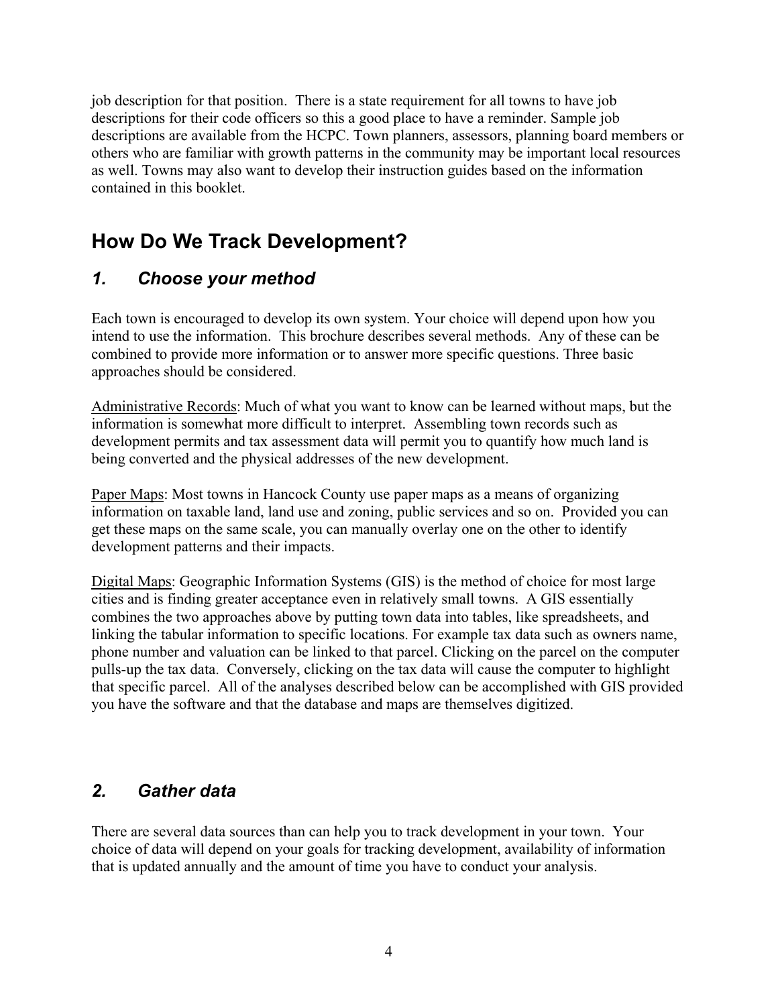job description for that position. There is a state requirement for all towns to have job descriptions for their code officers so this a good place to have a reminder. Sample job descriptions are available from the HCPC. Town planners, assessors, planning board members or others who are familiar with growth patterns in the community may be important local resources as well. Towns may also want to develop their instruction guides based on the information contained in this booklet.

# How Do We Track Development?

# 1. Choose your method

Each town is encouraged to develop its own system. Your choice will depend upon how you intend to use the information. This brochure describes several methods. Any of these can be combined to provide more information or to answer more specific questions. Three basic approaches should be considered.

Administrative Records: Much of what you want to know can be learned without maps, but the information is somewhat more difficult to interpret. Assembling town records such as development permits and tax assessment data will permit you to quantify how much land is being converted and the physical addresses of the new development.

Paper Maps: Most towns in Hancock County use paper maps as a means of organizing information on taxable land, land use and zoning, public services and so on. Provided you can get these maps on the same scale, you can manually overlay one on the other to identify development patterns and their impacts.

Digital Maps: Geographic Information Systems (GIS) is the method of choice for most large cities and is finding greater acceptance even in relatively small towns. A GIS essentially combines the two approaches above by putting town data into tables, like spreadsheets, and linking the tabular information to specific locations. For example tax data such as owners name, phone number and valuation can be linked to that parcel. Clicking on the parcel on the computer pulls-up the tax data. Conversely, clicking on the tax data will cause the computer to highlight that specific parcel. All of the analyses described below can be accomplished with GIS provided you have the software and that the database and maps are themselves digitized.

## 2. Gather data

There are several data sources than can help you to track development in your town. Your choice of data will depend on your goals for tracking development, availability of information that is updated annually and the amount of time you have to conduct your analysis.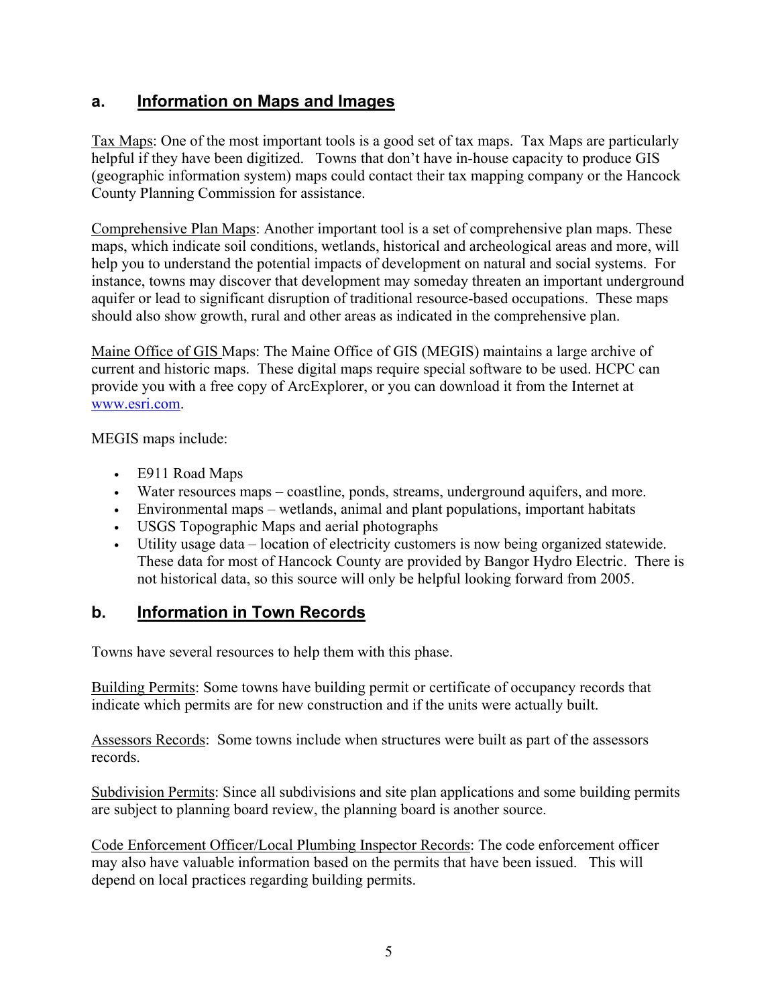#### a. Information on Maps and Images

Tax Maps: One of the most important tools is a good set of tax maps. Tax Maps are particularly helpful if they have been digitized. Towns that don't have in-house capacity to produce GIS (geographic information system) maps could contact their tax mapping company or the Hancock County Planning Commission for assistance.

Comprehensive Plan Maps: Another important tool is a set of comprehensive plan maps. These maps, which indicate soil conditions, wetlands, historical and archeological areas and more, will help you to understand the potential impacts of development on natural and social systems. For instance, towns may discover that development may someday threaten an important underground aquifer or lead to significant disruption of traditional resource-based occupations. These maps should also show growth, rural and other areas as indicated in the comprehensive plan.

Maine Office of GIS Maps: The Maine Office of GIS (MEGIS) maintains a large archive of current and historic maps. These digital maps require special software to be used. HCPC can provide you with a free copy of ArcExplorer, or you can download it from the Internet at www.esri.com.

MEGIS maps include:

- E911 Road Maps
- Water resources maps coastline, ponds, streams, underground aquifers, and more.
- Environmental maps wetlands, animal and plant populations, important habitats
- USGS Topographic Maps and aerial photographs
- Utility usage data location of electricity customers is now being organized statewide. These data for most of Hancock County are provided by Bangor Hydro Electric. There is not historical data, so this source will only be helpful looking forward from 2005.

#### b. Information in Town Records

Towns have several resources to help them with this phase.

Building Permits: Some towns have building permit or certificate of occupancy records that indicate which permits are for new construction and if the units were actually built.

Assessors Records: Some towns include when structures were built as part of the assessors records.

Subdivision Permits: Since all subdivisions and site plan applications and some building permits are subject to planning board review, the planning board is another source.

Code Enforcement Officer/Local Plumbing Inspector Records: The code enforcement officer may also have valuable information based on the permits that have been issued. This will depend on local practices regarding building permits.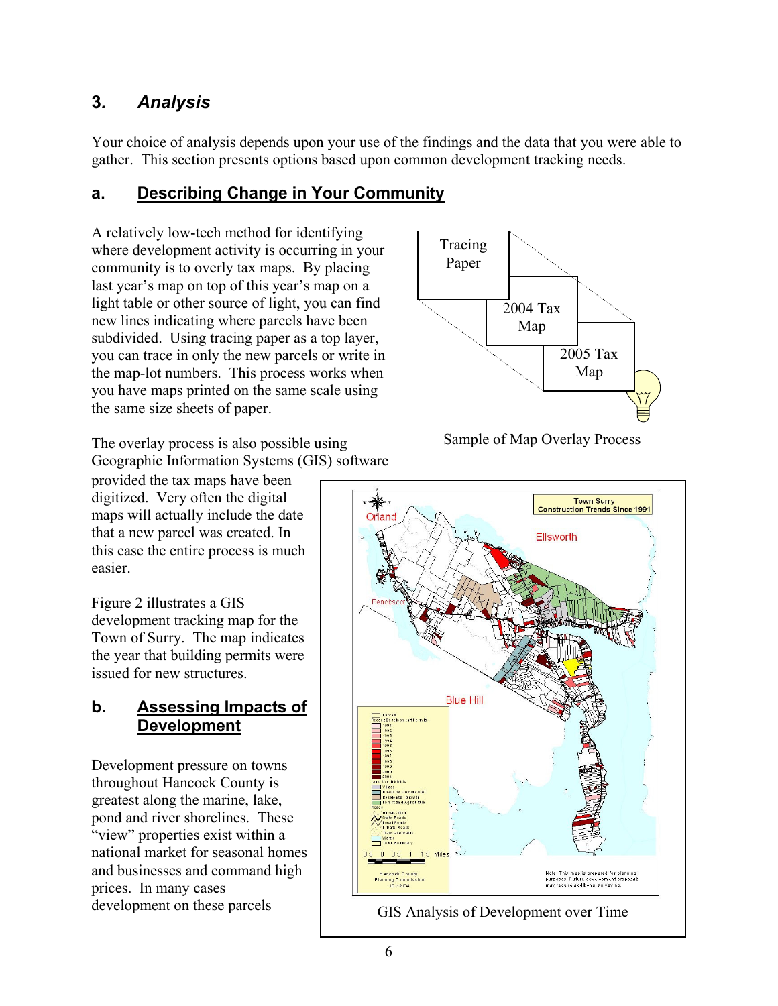## 3. Analysis

Your choice of analysis depends upon your use of the findings and the data that you were able to gather. This section presents options based upon common development tracking needs.

## a. Describing Change in Your Community

A relatively low-tech method for identifying where development activity is occurring in your community is to overly tax maps. By placing last year's map on top of this year's map on a light table or other source of light, you can find new lines indicating where parcels have been subdivided. Using tracing paper as a top layer, you can trace in only the new parcels or write in the map-lot numbers. This process works when you have maps printed on the same scale using the same size sheets of paper.

The overlay process is also possible using Geographic Information Systems (GIS) software

provided the tax maps have been digitized. Very often the digital maps will actually include the date that a new parcel was created. In this case the entire process is much easier.

Figure 2 illustrates a GIS development tracking map for the Town of Surry. The map indicates the year that building permits were issued for new structures.

#### b. Assessing Impacts of **Development**

Development pressure on towns throughout Hancock County is greatest along the marine, lake, pond and river shorelines. These "view" properties exist within a national market for seasonal homes and businesses and command high prices. In many cases development on these parcels



Sample of Map Overlay Process

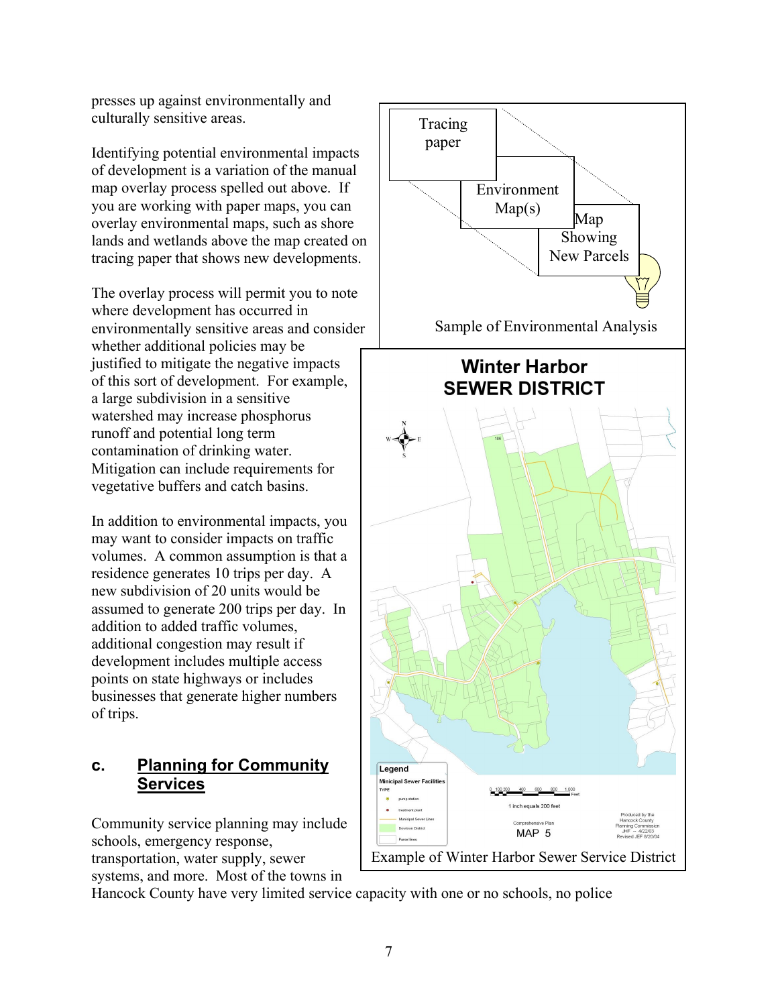presses up against environmentally and culturally sensitive areas.

Identifying potential environmental impacts of development is a variation of the manual map overlay process spelled out above. If you are working with paper maps, you can overlay environmental maps, such as shore lands and wetlands above the map created on tracing paper that shows new developments.

The overlay process will permit you to note where development has occurred in environmentally sensitive areas and consider whether additional policies may be justified to mitigate the negative impacts of this sort of development. For example, a large subdivision in a sensitive watershed may increase phosphorus runoff and potential long term contamination of drinking water. Mitigation can include requirements for vegetative buffers and catch basins.

In addition to environmental impacts, you may want to consider impacts on traffic volumes. A common assumption is that a residence generates 10 trips per day. A new subdivision of 20 units would be assumed to generate 200 trips per day. In addition to added traffic volumes, additional congestion may result if development includes multiple access points on state highways or includes businesses that generate higher numbers of trips.

#### c. Planning for Community **Services**

Community service planning may include schools, emergency response, transportation, water supply, sewer systems, and more. Most of the towns in



Hancock County have very limited service capacity with one or no schools, no police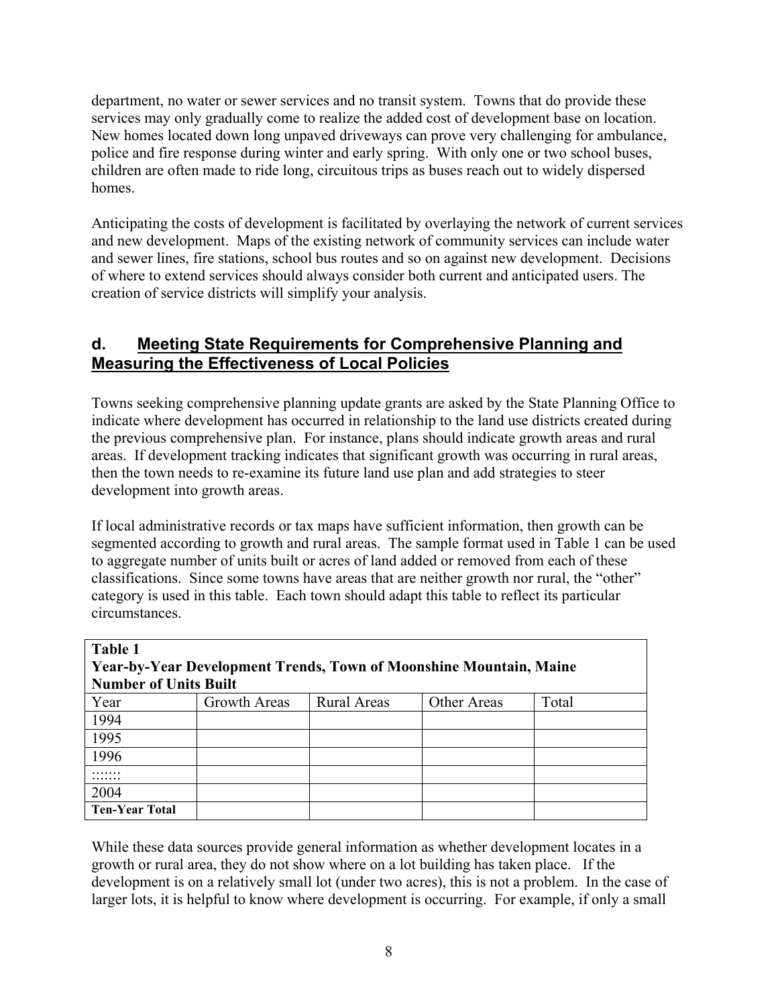department, no water or sewer services and no transit system. Towns that do provide these services may only gradually come to realize the added cost of development base on location. New homes located down long unpaved driveways can prove very challenging for ambulance, police and fire response during winter and early spring. With only one or two school buses, children are often made to ride long, circuitous trips as buses reach out to widely dispersed homes.

Anticipating the costs of development is facilitated by overlaying the network of current services and new development. Maps of the existing network of community services can include water and sewer lines, fire stations, school bus routes and so on against new development. Decisions of where to extend services should always consider both current and anticipated users. The creation of service districts will simplify your analysis.

#### d. Meeting State Requirements for Comprehensive Planning and Measuring the Effectiveness of Local Policies

Towns seeking comprehensive planning update grants are asked by the State Planning Office to indicate where development has occurred in relationship to the land use districts created during the previous comprehensive plan. For instance, plans should indicate growth areas and rural areas. If development tracking indicates that significant growth was occurring in rural areas, then the town needs to re-examine its future land use plan and add strategies to steer development into growth areas.

If local administrative records or tax maps have sufficient information, then growth can be segmented according to growth and rural areas. The sample format used in Table 1 can be used to aggregate number of units built or acres of land added or removed from each of these classifications. Since some towns have areas that are neither growth nor rural, the "other" category is used in this table. Each town should adapt this table to reflect its particular circumstances.

| Table 1<br>Year-by-Year Development Trends, Town of Moonshine Mountain, Maine |                     |                    |             |       |  |  |  |  |  |
|-------------------------------------------------------------------------------|---------------------|--------------------|-------------|-------|--|--|--|--|--|
| <b>Number of Units Built</b>                                                  |                     |                    |             |       |  |  |  |  |  |
| Year                                                                          | <b>Growth Areas</b> | <b>Rural Areas</b> | Other Areas | Total |  |  |  |  |  |
| 1994                                                                          |                     |                    |             |       |  |  |  |  |  |
| 1995                                                                          |                     |                    |             |       |  |  |  |  |  |
| 1996                                                                          |                     |                    |             |       |  |  |  |  |  |
|                                                                               |                     |                    |             |       |  |  |  |  |  |
| 2004                                                                          |                     |                    |             |       |  |  |  |  |  |
| <b>Ten-Year Total</b>                                                         |                     |                    |             |       |  |  |  |  |  |

While these data sources provide general information as whether development locates in a growth or rural area, they do not show where on a lot building has taken place. If the development is on a relatively small lot (under two acres), this is not a problem. In the case of larger lots, it is helpful to know where development is occurring. For example, if only a small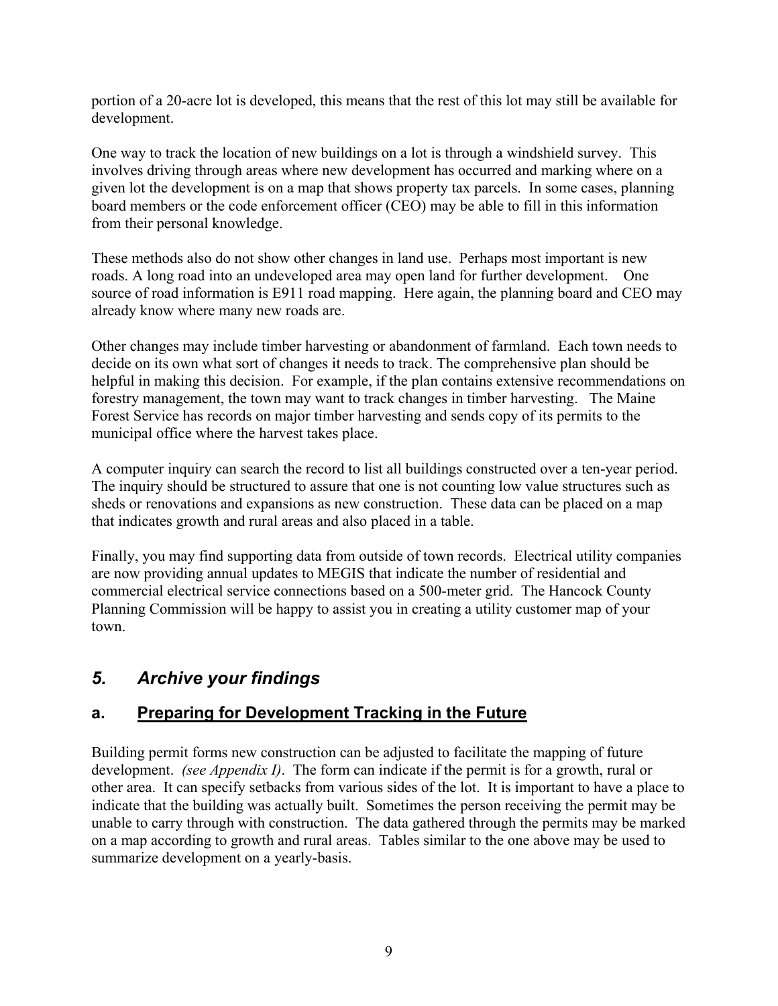portion of a 20-acre lot is developed, this means that the rest of this lot may still be available for development.

One way to track the location of new buildings on a lot is through a windshield survey. This involves driving through areas where new development has occurred and marking where on a given lot the development is on a map that shows property tax parcels. In some cases, planning board members or the code enforcement officer (CEO) may be able to fill in this information from their personal knowledge.

These methods also do not show other changes in land use. Perhaps most important is new roads. A long road into an undeveloped area may open land for further development. One source of road information is E911 road mapping. Here again, the planning board and CEO may already know where many new roads are.

Other changes may include timber harvesting or abandonment of farmland. Each town needs to decide on its own what sort of changes it needs to track. The comprehensive plan should be helpful in making this decision. For example, if the plan contains extensive recommendations on forestry management, the town may want to track changes in timber harvesting. The Maine Forest Service has records on major timber harvesting and sends copy of its permits to the municipal office where the harvest takes place.

A computer inquiry can search the record to list all buildings constructed over a ten-year period. The inquiry should be structured to assure that one is not counting low value structures such as sheds or renovations and expansions as new construction. These data can be placed on a map that indicates growth and rural areas and also placed in a table.

Finally, you may find supporting data from outside of town records. Electrical utility companies are now providing annual updates to MEGIS that indicate the number of residential and commercial electrical service connections based on a 500-meter grid. The Hancock County Planning Commission will be happy to assist you in creating a utility customer map of your town.

## 5. Archive your findings

#### a. Preparing for Development Tracking in the Future

Building permit forms new construction can be adjusted to facilitate the mapping of future development. *(see Appendix I)*. The form can indicate if the permit is for a growth, rural or other area. It can specify setbacks from various sides of the lot. It is important to have a place to indicate that the building was actually built. Sometimes the person receiving the permit may be unable to carry through with construction. The data gathered through the permits may be marked on a map according to growth and rural areas. Tables similar to the one above may be used to summarize development on a yearly-basis.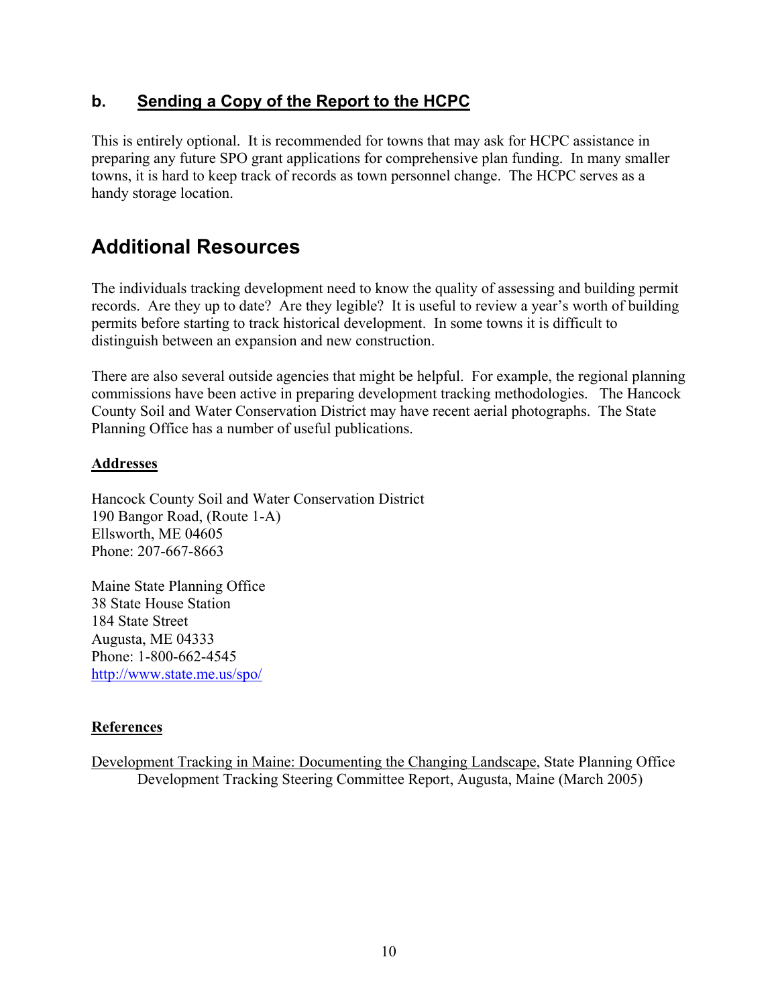#### b. Sending a Copy of the Report to the HCPC

This is entirely optional. It is recommended for towns that may ask for HCPC assistance in preparing any future SPO grant applications for comprehensive plan funding. In many smaller towns, it is hard to keep track of records as town personnel change. The HCPC serves as a handy storage location.

# Additional Resources

The individuals tracking development need to know the quality of assessing and building permit records. Are they up to date? Are they legible? It is useful to review a year's worth of building permits before starting to track historical development. In some towns it is difficult to distinguish between an expansion and new construction.

There are also several outside agencies that might be helpful. For example, the regional planning commissions have been active in preparing development tracking methodologies. The Hancock County Soil and Water Conservation District may have recent aerial photographs. The State Planning Office has a number of useful publications.

#### **Addresses**

Hancock County Soil and Water Conservation District 190 Bangor Road, (Route 1-A) Ellsworth, ME 04605 Phone: 207-667-8663

Maine State Planning Office 38 State House Station 184 State Street Augusta, ME 04333 Phone: 1-800-662-4545 http://www.state.me.us/spo/

#### **References**

Development Tracking in Maine: Documenting the Changing Landscape, State Planning Office Development Tracking Steering Committee Report, Augusta, Maine (March 2005)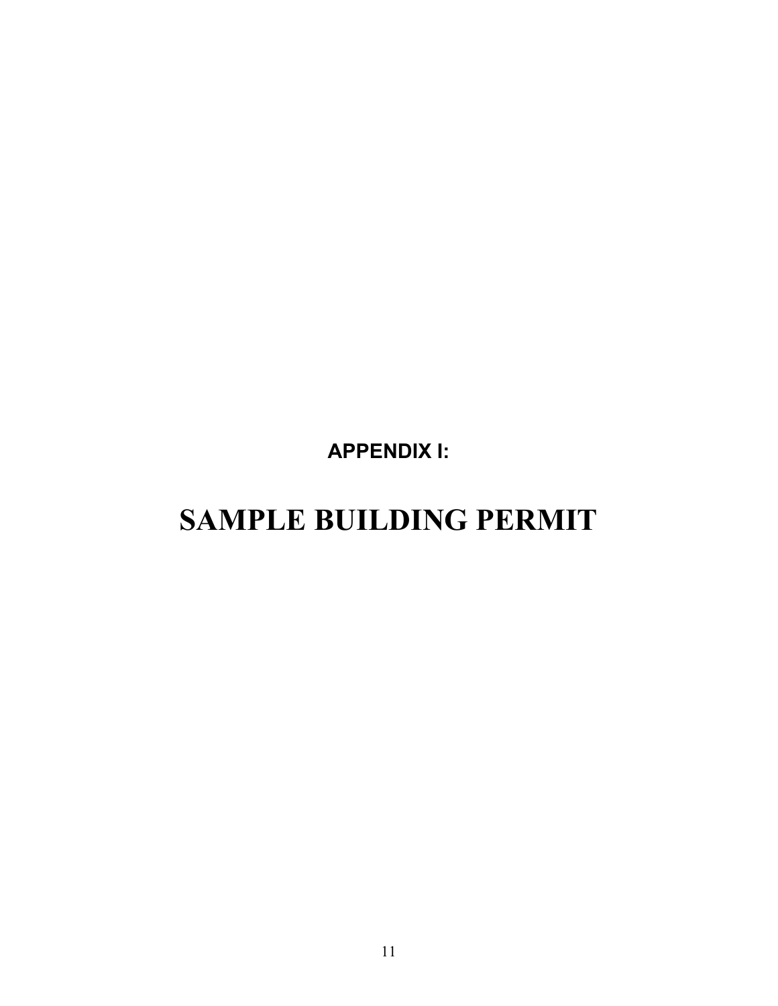APPENDIX I:

# SAMPLE BUILDING PERMIT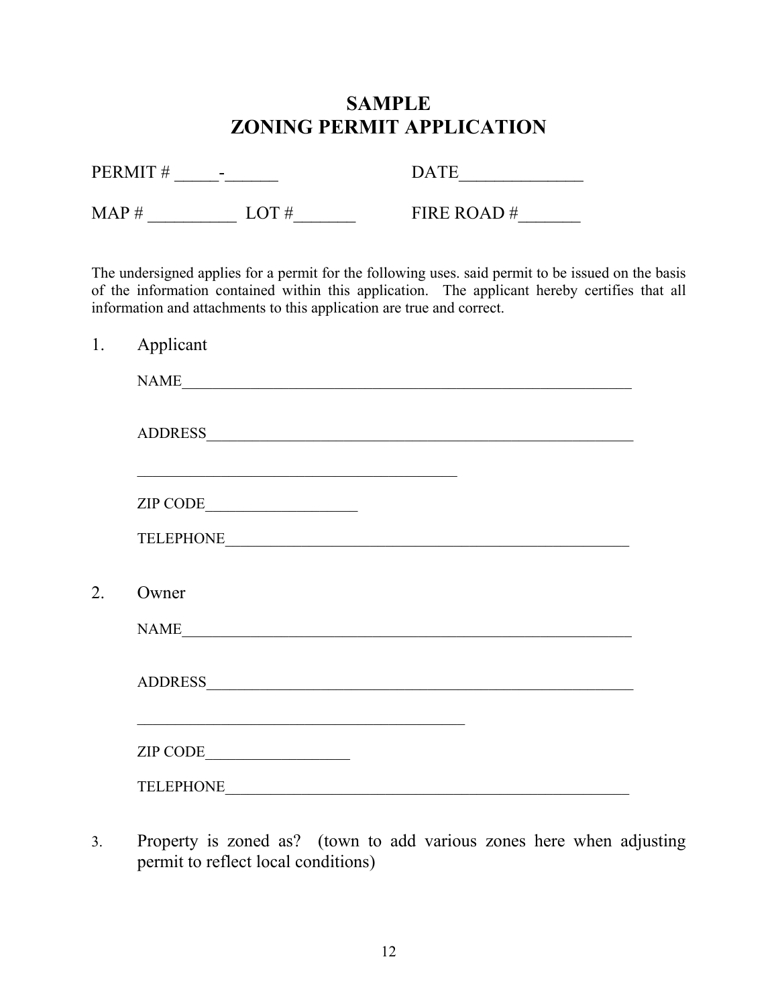# SAMPLE ZONING PERMIT APPLICATION

| PERMIT#<br>$\sim$ | <b>DATE</b> |            |  |  |  |
|-------------------|-------------|------------|--|--|--|
| MAP #             | LOT $#$     | FIRE ROAD# |  |  |  |

The undersigned applies for a permit for the following uses. said permit to be issued on the basis of the information contained within this application. The applicant hereby certifies that all information and attachments to this application are true and correct.

| 1. | Applicant |
|----|-----------|
|    |           |
|    |           |
|    | ZIP CODE  |
|    |           |
| 2. | Owner     |
|    | NAME      |
|    |           |
|    | ZIP CODE  |
|    |           |

3. Property is zoned as? (town to add various zones here when adjusting permit to reflect local conditions)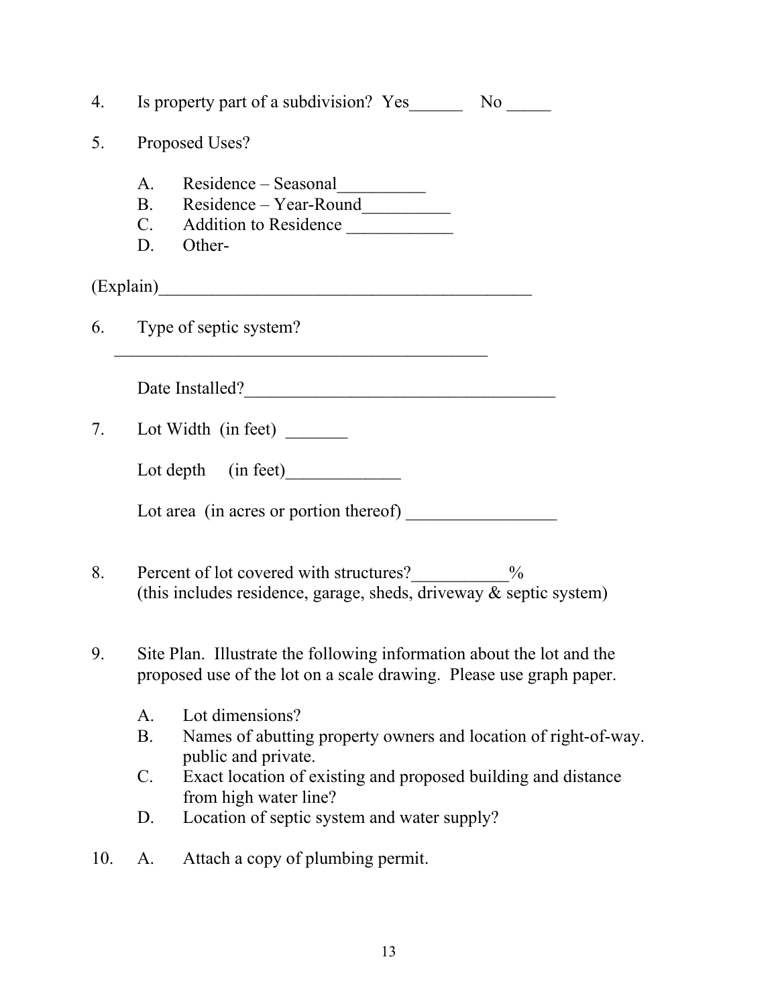|     | 4. Is property part of a subdivision? Yes No No                                                                                              |  |  |  |  |  |  |  |  |  |  |  |
|-----|----------------------------------------------------------------------------------------------------------------------------------------------|--|--|--|--|--|--|--|--|--|--|--|
| 5.  | Proposed Uses?                                                                                                                               |  |  |  |  |  |  |  |  |  |  |  |
|     | A. Residence - Seasonal<br>B. Residence - Year-Round<br>C. Addition to Residence<br>D. Other-                                                |  |  |  |  |  |  |  |  |  |  |  |
|     |                                                                                                                                              |  |  |  |  |  |  |  |  |  |  |  |
|     | 6. Type of septic system?                                                                                                                    |  |  |  |  |  |  |  |  |  |  |  |
|     | Date Installed?                                                                                                                              |  |  |  |  |  |  |  |  |  |  |  |
|     | 7. Lot Width (in feet) ________                                                                                                              |  |  |  |  |  |  |  |  |  |  |  |
|     | Lot depth (in feet)                                                                                                                          |  |  |  |  |  |  |  |  |  |  |  |
|     |                                                                                                                                              |  |  |  |  |  |  |  |  |  |  |  |
| 8.  | Percent of lot covered with structures?<br>_____________%<br>(this includes residence, garage, sheds, driveway $\&$ septic system)           |  |  |  |  |  |  |  |  |  |  |  |
| 9.  | Site Plan. Illustrate the following information about the lot and the<br>proposed use of the lot on a scale drawing. Please use graph paper. |  |  |  |  |  |  |  |  |  |  |  |
|     | Lot dimensions?<br>$A_{\cdot}$<br><b>B.</b><br>Names of abutting property owners and location of right-of-way.<br>public and private.        |  |  |  |  |  |  |  |  |  |  |  |
|     | $\mathcal{C}$ .<br>Exact location of existing and proposed building and distance<br>from high water line?                                    |  |  |  |  |  |  |  |  |  |  |  |
|     | Location of septic system and water supply?<br>D.                                                                                            |  |  |  |  |  |  |  |  |  |  |  |
| 10. | Attach a copy of plumbing permit.<br>A.                                                                                                      |  |  |  |  |  |  |  |  |  |  |  |